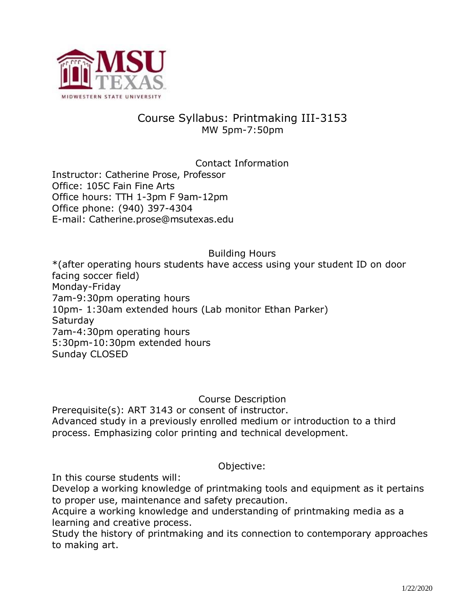

# Course Syllabus: Printmaking III-3153 MW 5pm-7:50pm

Contact Information Instructor: Catherine Prose, Professor Office: 105C Fain Fine Arts Office hours: TTH 1-3pm F 9am-12pm Office phone: (940) 397-4304 E-mail: Catherine.prose@msutexas.edu

#### Building Hours

\*(after operating hours students have access using your student ID on door facing soccer field) Monday-Friday 7am-9:30pm operating hours 10pm- 1:30am extended hours (Lab monitor Ethan Parker) **Saturday** 7am-4:30pm operating hours 5:30pm-10:30pm extended hours Sunday CLOSED

Course Description

Prerequisite(s): ART 3143 or consent of instructor. Advanced study in a previously enrolled medium or introduction to a third process. Emphasizing color printing and technical development.

#### Objective:

In this course students will:

Develop a working knowledge of printmaking tools and equipment as it pertains to proper use, maintenance and safety precaution.

Acquire a working knowledge and understanding of printmaking media as a learning and creative process.

Study the history of printmaking and its connection to contemporary approaches to making art.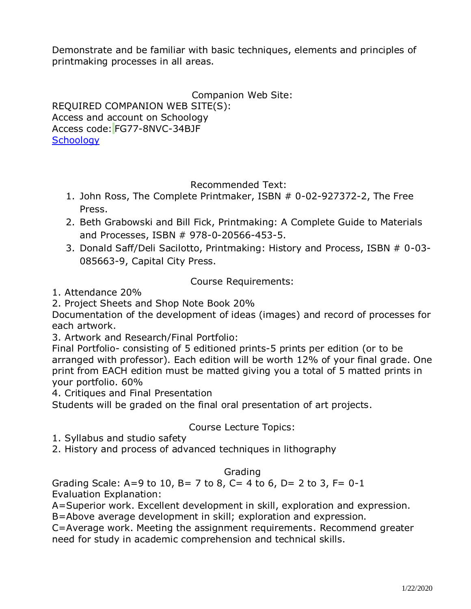Demonstrate and be familiar with basic techniques, elements and principles of printmaking processes in all areas.

Companion Web Site:

REQUIRED COMPANION WEB SITE(S): Access and account on Schoology Access code: FG77-8NVC-34BJF **[Schoology](https://www.schoology.com/home)** 

Recommended Text:

- 1. John Ross, The Complete Printmaker, ISBN # 0-02-927372-2, The Free Press.
- 2. Beth Grabowski and Bill Fick, Printmaking: A Complete Guide to Materials and Processes, ISBN # 978-0-20566-453-5.
- 3. Donald Saff/Deli Sacilotto, Printmaking: History and Process, ISBN # 0-03- 085663-9, Capital City Press.

Course Requirements:

1. Attendance 20%

2. Project Sheets and Shop Note Book 20%

Documentation of the development of ideas (images) and record of processes for each artwork.

3. Artwork and Research/Final Portfolio:

Final Portfolio- consisting of 5 editioned prints-5 prints per edition (or to be arranged with professor). Each edition will be worth 12% of your final grade. One print from EACH edition must be matted giving you a total of 5 matted prints in your portfolio. 60%

4. Critiques and Final Presentation

Students will be graded on the final oral presentation of art projects.

## Course Lecture Topics:

- 1. Syllabus and studio safety
- 2. History and process of advanced techniques in lithography

### Grading

Grading Scale: A=9 to 10, B= 7 to 8, C= 4 to 6, D= 2 to 3, F=  $0-1$ Evaluation Explanation:

A=Superior work. Excellent development in skill, exploration and expression. B=Above average development in skill; exploration and expression.

C=Average work. Meeting the assignment requirements. Recommend greater need for study in academic comprehension and technical skills.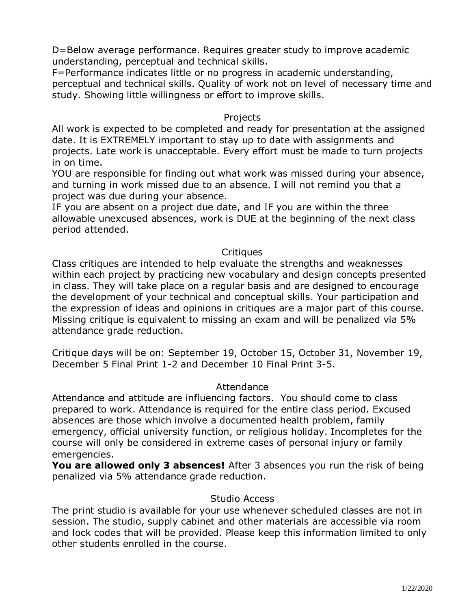D=Below average performance. Requires greater study to improve academic understanding, perceptual and technical skills.

F=Performance indicates little or no progress in academic understanding, perceptual and technical skills. Quality of work not on level of necessary time and study. Showing little willingness or effort to improve skills.

#### Projects

All work is expected to be completed and ready for presentation at the assigned date. It is EXTREMELY important to stay up to date with assignments and projects. Late work is unacceptable. Every effort must be made to turn projects in on time.

YOU are responsible for finding out what work was missed during your absence, and turning in work missed due to an absence. I will not remind you that a project was due during your absence.

IF you are absent on a project due date, and IF you are within the three allowable unexcused absences, work is DUE at the beginning of the next class period attended.

### **Critiques**

Class critiques are intended to help evaluate the strengths and weaknesses within each project by practicing new vocabulary and design concepts presented in class. They will take place on a regular basis and are designed to encourage the development of your technical and conceptual skills. Your participation and the expression of ideas and opinions in critiques are a major part of this course. Missing critique is equivalent to missing an exam and will be penalized via 5% attendance grade reduction.

Critique days will be on: September 19, October 15, October 31, November 19, December 5 Final Print 1-2 and December 10 Final Print 3-5.

### Attendance

Attendance and attitude are influencing factors. You should come to class prepared to work. Attendance is required for the entire class period. Excused absences are those which involve a documented health problem, family emergency, official university function, or religious holiday. Incompletes for the course will only be considered in extreme cases of personal injury or family emergencies.

**You are allowed only 3 absences!** After 3 absences you run the risk of being penalized via 5% attendance grade reduction.

### Studio Access

The print studio is available for your use whenever scheduled classes are not in session. The studio, supply cabinet and other materials are accessible via room and lock codes that will be provided. Please keep this information limited to only other students enrolled in the course.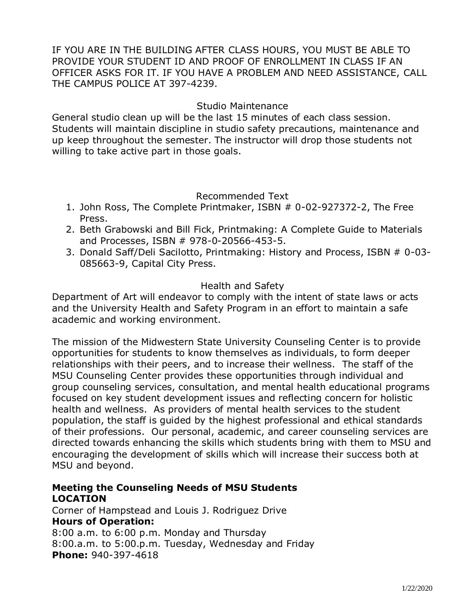IF YOU ARE IN THE BUILDING AFTER CLASS HOURS, YOU MUST BE ABLE TO PROVIDE YOUR STUDENT ID AND PROOF OF ENROLLMENT IN CLASS IF AN OFFICER ASKS FOR IT. IF YOU HAVE A PROBLEM AND NEED ASSISTANCE, CALL THE CAMPUS POLICE AT 397-4239.

#### Studio Maintenance

General studio clean up will be the last 15 minutes of each class session. Students will maintain discipline in studio safety precautions, maintenance and up keep throughout the semester. The instructor will drop those students not willing to take active part in those goals.

#### Recommended Text

- 1. John Ross, The Complete Printmaker, ISBN # 0-02-927372-2, The Free Press.
- 2. Beth Grabowski and Bill Fick, Printmaking: A Complete Guide to Materials and Processes, ISBN # 978-0-20566-453-5.
- 3. Donald Saff/Deli Sacilotto, Printmaking: History and Process, ISBN # 0-03- 085663-9, Capital City Press.

#### Health and Safety

Department of Art will endeavor to comply with the intent of state laws or acts and the University Health and Safety Program in an effort to maintain a safe academic and working environment.

The mission of the Midwestern State University Counseling Center is to provide opportunities for students to know themselves as individuals, to form deeper relationships with their peers, and to increase their wellness. The staff of the MSU Counseling Center provides these opportunities through individual and group counseling services, consultation, and mental health educational programs focused on key student development issues and reflecting concern for holistic health and wellness. As providers of mental health services to the student population, the staff is guided by the highest professional and ethical standards of their professions. Our personal, academic, and career counseling services are directed towards enhancing the skills which students bring with them to MSU and encouraging the development of skills which will increase their success both at MSU and beyond.

### **Meeting the Counseling Needs of MSU Students LOCATION**

Corner of Hampstead and Louis J. Rodriguez Drive **Hours of Operation:** 8:00 a.m. to 6:00 p.m. Monday and Thursday 8:00.a.m. to 5:00.p.m. Tuesday, Wednesday and Friday **Phone:** 940-397-4618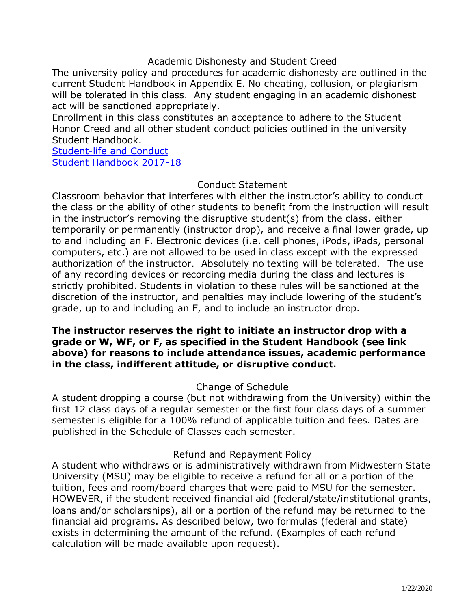#### Academic Dishonesty and Student Creed

The university policy and procedures for academic dishonesty are outlined in the current Student Handbook in Appendix E. No cheating, collusion, or plagiarism will be tolerated in this class. Any student engaging in an academic dishonest act will be sanctioned appropriately.

Enrollment in this class constitutes an acceptance to adhere to the Student Honor Creed and all other student conduct policies outlined in the university Student Handbook.

[Student-life and Conduct](http://www.mwsu.edu/student-life/conduct/index) [Student Handbook 2017-18](https://www.google.com/url?q=https://mwsu.edu/Assets/documents/student-life/student-handbook-2017-18.pdf&sa=U&ved=0ahUKEwixw-3T3abcAhWrjVQKHfLVAagQFggIMAI&client=internal-uds-cse&cx=005415390298199374191:z1jifvnz7pq&usg=AOvVaw1mXnpeBHOgypErdXWmw5_L)

#### Conduct Statement

Classroom behavior that interferes with either the instructor's ability to conduct the class or the ability of other students to benefit from the instruction will result in the instructor's removing the disruptive student(s) from the class, either temporarily or permanently (instructor drop), and receive a final lower grade, up to and including an F. Electronic devices (i.e. cell phones, iPods, iPads, personal computers, etc.) are not allowed to be used in class except with the expressed authorization of the instructor. Absolutely no texting will be tolerated. The use of any recording devices or recording media during the class and lectures is strictly prohibited. Students in violation to these rules will be sanctioned at the discretion of the instructor, and penalties may include lowering of the student's grade, up to and including an F, and to include an instructor drop.

### **The instructor reserves the right to initiate an instructor drop with a grade or W, WF, or F, as specified in the Student Handbook (see link above) for reasons to include attendance issues, academic performance in the class, indifferent attitude, or disruptive conduct.**

#### Change of Schedule

A student dropping a course (but not withdrawing from the University) within the first 12 class days of a regular semester or the first four class days of a summer semester is eligible for a 100% refund of applicable tuition and fees. Dates are published in the Schedule of Classes each semester.

### Refund and Repayment Policy

A student who withdraws or is administratively withdrawn from Midwestern State University (MSU) may be eligible to receive a refund for all or a portion of the tuition, fees and room/board charges that were paid to MSU for the semester. HOWEVER, if the student received financial aid (federal/state/institutional grants, loans and/or scholarships), all or a portion of the refund may be returned to the financial aid programs. As described below, two formulas (federal and state) exists in determining the amount of the refund. (Examples of each refund calculation will be made available upon request).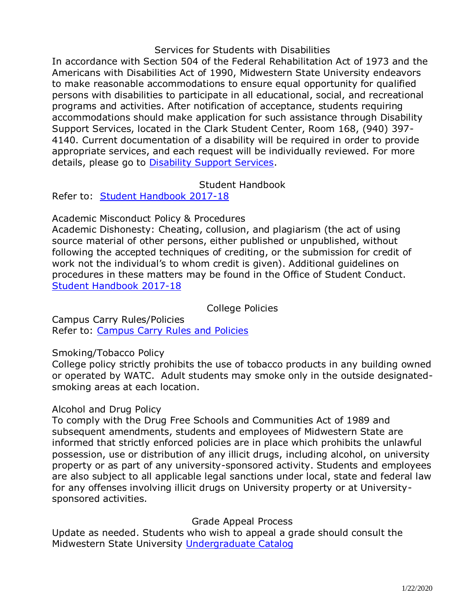#### Services for Students with Disabilities

In accordance with Section 504 of the Federal Rehabilitation Act of 1973 and the Americans with Disabilities Act of 1990, Midwestern State University endeavors to make reasonable accommodations to ensure equal opportunity for qualified persons with disabilities to participate in all educational, social, and recreational programs and activities. After notification of acceptance, students requiring accommodations should make application for such assistance through Disability Support Services, located in the Clark Student Center, Room 168, (940) 397- 4140. Current documentation of a disability will be required in order to provide appropriate services, and each request will be individually reviewed. For more details, please go to [Disability Support Services.](http://www.mwsu.edu/student-life/disability)

### Student Handbook

Refer to: [Student Handbook 2017-18](https://mwsu.edu/Assets/documents/student-life/student-handbook-2017-18.pdf)

Academic Misconduct Policy & Procedures

Academic Dishonesty: Cheating, collusion, and plagiarism (the act of using source material of other persons, either published or unpublished, without following the accepted techniques of crediting, or the submission for credit of work not the individual's to whom credit is given). Additional guidelines on procedures in these matters may be found in the Office of Student Conduct. [Student Handbook](https://mwsu.edu/Assets/documents/student-life/student-handbook-2017-18.pdf) 2017-18

College Policies

Campus Carry Rules/Policies Refer to: [Campus Carry Rules and Policies](https://mwsu.edu/campus-carry/rules-policies)

Smoking/Tobacco Policy

College policy strictly prohibits the use of tobacco products in any building owned or operated by WATC. Adult students may smoke only in the outside designatedsmoking areas at each location.

#### Alcohol and Drug Policy

To comply with the Drug Free Schools and Communities Act of 1989 and subsequent amendments, students and employees of Midwestern State are informed that strictly enforced policies are in place which prohibits the unlawful possession, use or distribution of any illicit drugs, including alcohol, on university property or as part of any university-sponsored activity. Students and employees are also subject to all applicable legal sanctions under local, state and federal law for any offenses involving illicit drugs on University property or at Universitysponsored activities.

### Grade Appeal Process

Update as needed. Students who wish to appeal a grade should consult the Midwestern State University [Undergraduate Catalog](http://catalog.mwsu.edu/content.php?catoid=14&navoid=655#Appeal_of_Course_Grade)